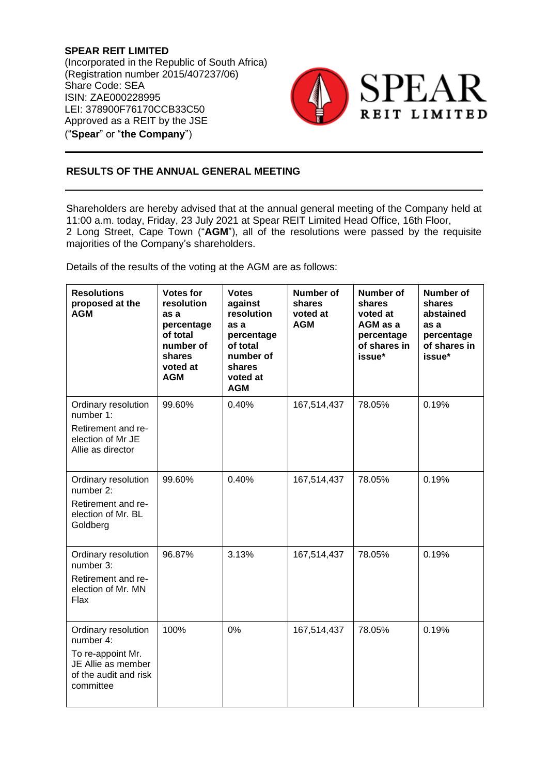**SPEAR REIT LIMITED** (Incorporated in the Republic of South Africa) (Registration number 2015/407237/06) Share Code: SEA ISIN: ZAE000228995 LEI: 378900F76170CCB33C50 Approved as a REIT by the JSE ("**Spear**" or "**the Company**")



## **RESULTS OF THE ANNUAL GENERAL MEETING**

Shareholders are hereby advised that at the annual general meeting of the Company held at 11:00 a.m. today, Friday, 23 July 2021 at Spear REIT Limited Head Office, 16th Floor, 2 Long Street, Cape Town ("**AGM**"), all of the resolutions were passed by the requisite majorities of the Company's shareholders.

Details of the results of the voting at the AGM are as follows:

| <b>Resolutions</b><br>proposed at the<br><b>AGM</b>                                                               | <b>Votes for</b><br>resolution<br>as a<br>percentage<br>of total<br>number of<br>shares<br>voted at<br><b>AGM</b> | <b>Votes</b><br>against<br>resolution<br>as a<br>percentage<br>of total<br>number of<br>shares<br>voted at<br><b>AGM</b> | <b>Number of</b><br>shares<br>voted at<br><b>AGM</b> | <b>Number of</b><br>shares<br>voted at<br>AGM as a<br>percentage<br>of shares in<br>issue* | <b>Number of</b><br>shares<br>abstained<br>as a<br>percentage<br>of shares in<br>issue* |
|-------------------------------------------------------------------------------------------------------------------|-------------------------------------------------------------------------------------------------------------------|--------------------------------------------------------------------------------------------------------------------------|------------------------------------------------------|--------------------------------------------------------------------------------------------|-----------------------------------------------------------------------------------------|
| Ordinary resolution<br>number 1:<br>Retirement and re-<br>election of Mr JE<br>Allie as director                  | 99.60%                                                                                                            | 0.40%                                                                                                                    | 167,514,437                                          | 78.05%                                                                                     | 0.19%                                                                                   |
| Ordinary resolution<br>number 2:<br>Retirement and re-<br>election of Mr. BL<br>Goldberg                          | 99.60%                                                                                                            | 0.40%                                                                                                                    | 167,514,437                                          | 78.05%                                                                                     | 0.19%                                                                                   |
| Ordinary resolution<br>number 3:<br>Retirement and re-<br>election of Mr. MN<br>Flax                              | 96.87%                                                                                                            | 3.13%                                                                                                                    | 167,514,437                                          | 78.05%                                                                                     | 0.19%                                                                                   |
| Ordinary resolution<br>number 4:<br>To re-appoint Mr.<br>JE Allie as member<br>of the audit and risk<br>committee | 100%                                                                                                              | 0%                                                                                                                       | 167,514,437                                          | 78.05%                                                                                     | 0.19%                                                                                   |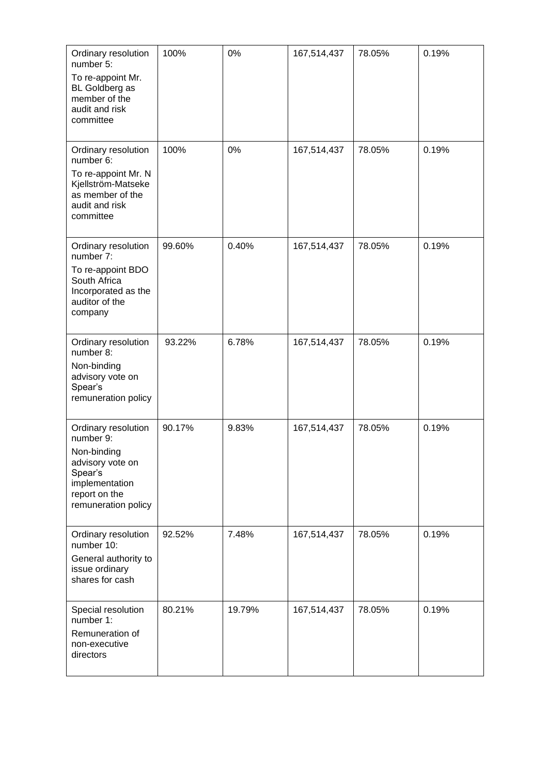| Ordinary resolution<br>number 5:<br>To re-appoint Mr.<br><b>BL Goldberg as</b><br>member of the<br>audit and risk                        | 100%   | 0%     | 167,514,437 | 78.05% | 0.19% |
|------------------------------------------------------------------------------------------------------------------------------------------|--------|--------|-------------|--------|-------|
| committee                                                                                                                                |        |        |             |        |       |
| Ordinary resolution<br>number 6:<br>To re-appoint Mr. N                                                                                  | 100%   | 0%     | 167,514,437 | 78.05% | 0.19% |
| Kjellström-Matseke<br>as member of the<br>audit and risk<br>committee                                                                    |        |        |             |        |       |
| Ordinary resolution<br>number 7:                                                                                                         | 99.60% | 0.40%  | 167,514,437 | 78.05% | 0.19% |
| To re-appoint BDO<br>South Africa<br>Incorporated as the<br>auditor of the<br>company                                                    |        |        |             |        |       |
| Ordinary resolution<br>number 8:<br>Non-binding<br>advisory vote on<br>Spear's<br>remuneration policy                                    | 93.22% | 6.78%  | 167,514,437 | 78.05% | 0.19% |
| Ordinary resolution<br>number 9:<br>Non-binding<br>advisory vote on<br>Spear's<br>implementation<br>report on the<br>remuneration policy | 90.17% | 9.83%  | 167,514,437 | 78.05% | 0.19% |
| Ordinary resolution<br>number 10:<br>General authority to<br>issue ordinary<br>shares for cash                                           | 92.52% | 7.48%  | 167,514,437 | 78.05% | 0.19% |
| Special resolution<br>number 1:<br>Remuneration of<br>non-executive<br>directors                                                         | 80.21% | 19.79% | 167,514,437 | 78.05% | 0.19% |